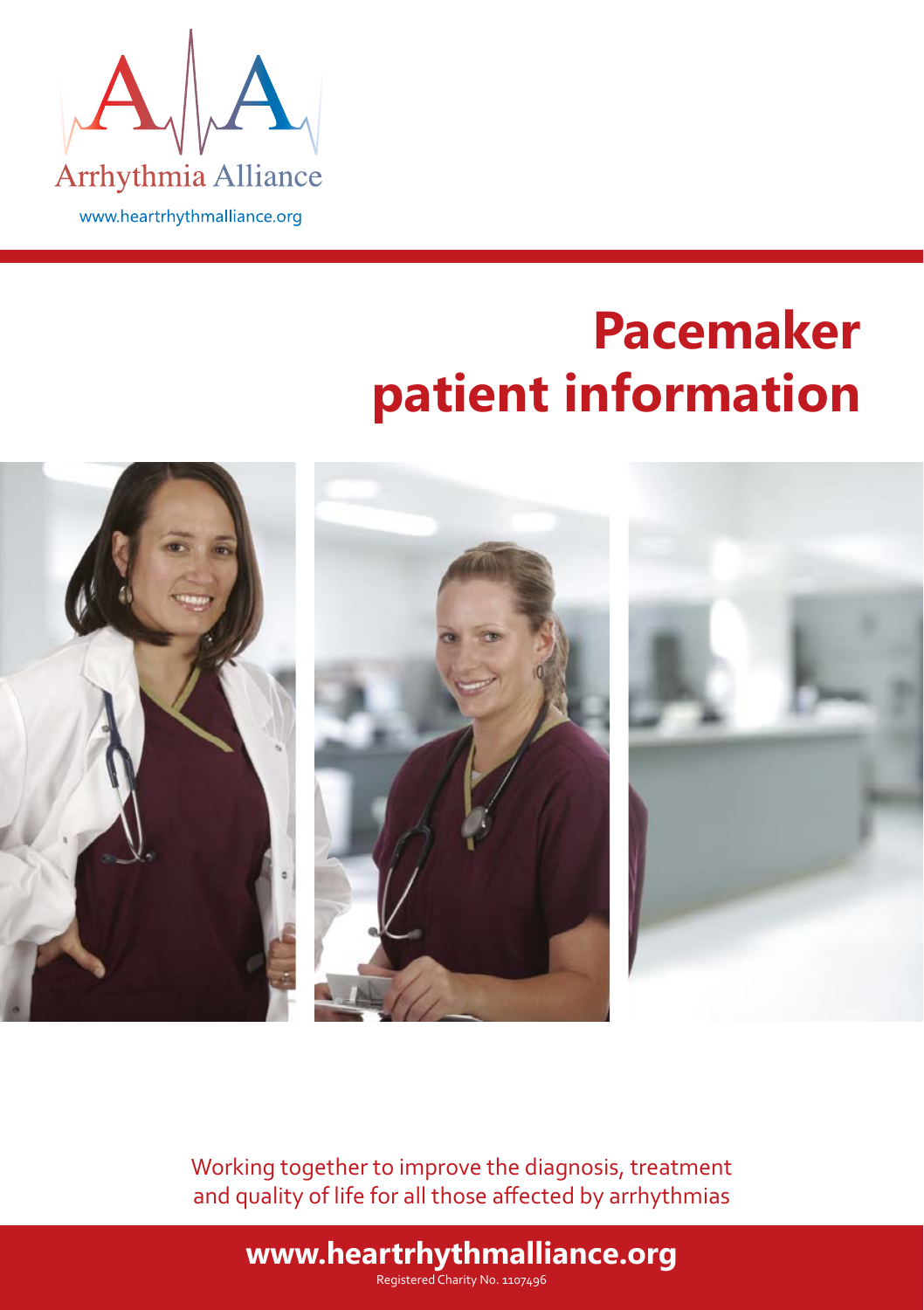

# **Pacemaker patient information**



Working together to improve the diagnosis, treatment and quality of life for all those affected by arrhythmias

### **www.heartrhythmalliance.org**

Registered Charity No. 1107496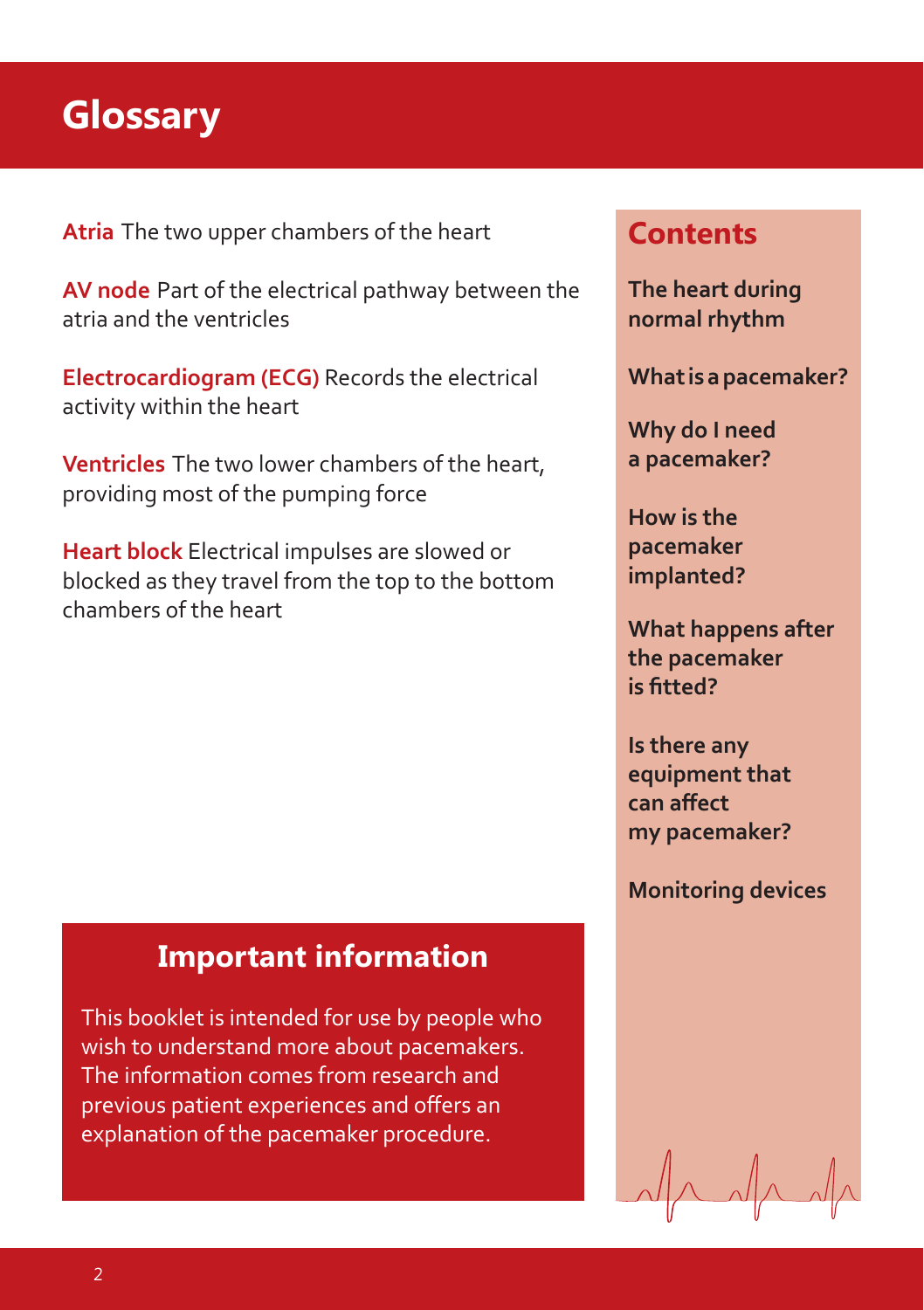## **Glossary**

**Atria** The two upper chambers of the heart

**AV node** Part of the electrical pathway between the atria and the ventricles

**Electrocardiogram (ECG)** Records the electrical activity within the heart

**Ventricles** The two lower chambers of the heart, providing most of the pumping force

**Heart block** Electrical impulses are slowed or blocked as they travel from the top to the bottom chambers of the heart

#### **Important information**

This booklet is intended for use by people who wish to understand more about pacemakers. The information comes from research and previous patient experiences and offers an explanation of the pacemaker procedure.

### **Contents**

**The heart during normal rhythm**

**What is a pacemaker?**

**Why do I need a pacemaker?**

**How is the pacemaker implanted?**

**What happens after the pacemaker is fitted?** 

**Is there any equipment that can aff ect my pacemaker?**

**Monitoring devices**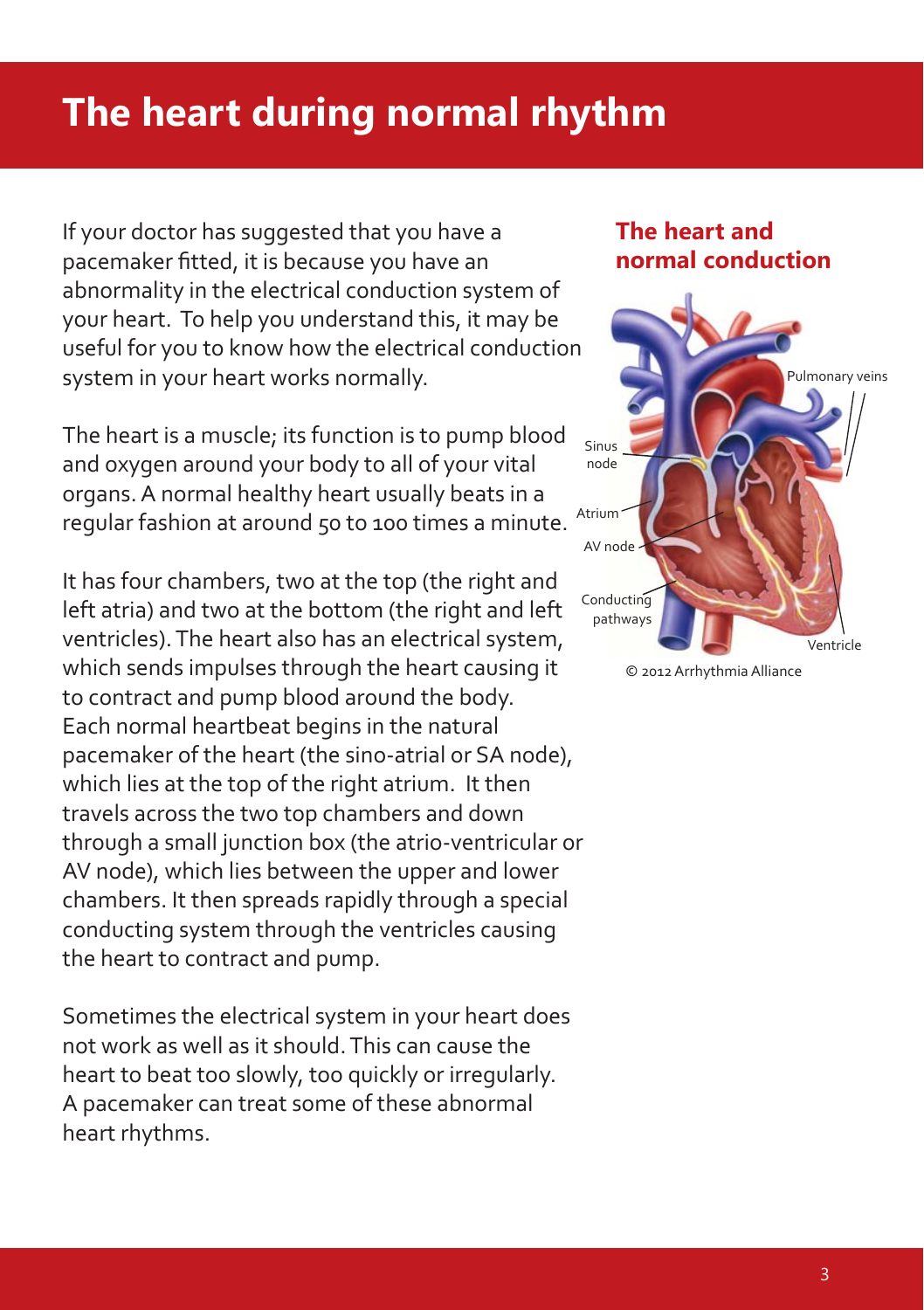# **The heart during normal rhythm**

If your doctor has suggested that you have a pacemaker fitted, it is because you have an abnormality in the electrical conduction system of your heart. To help you understand this, it may be useful for you to know how the electrical conduction system in your heart works normally.

The heart is a muscle; its function is to pump blood and oxygen around your body to all of your vital organs. A normal healthy heart usually beats in a regular fashion at around 50 to 100 times a minute.

It has four chambers, two at the top (the right and left atria) and two at the bottom (the right and left ventricles). The heart also has an electrical system, which sends impulses through the heart causing it to contract and pump blood around the body. Each normal heartbeat begins in the natural pacemaker of the heart (the sino-atrial or SA node), which lies at the top of the right atrium. It then travels across the two top chambers and down through a small junction box (the atrio-ventricular or AV node), which lies between the upper and lower chambers. It then spreads rapidly through a special conducting system through the ventricles causing the heart to contract and pump.

Sometimes the electrical system in your heart does not work as well as it should. This can cause the heart to beat too slowly, too quickly or irregularly. A pacemaker can treat some of these abnormal heart rhythms.

#### **The heart and normal conduction**



© 2012 Arrhythmia Alliance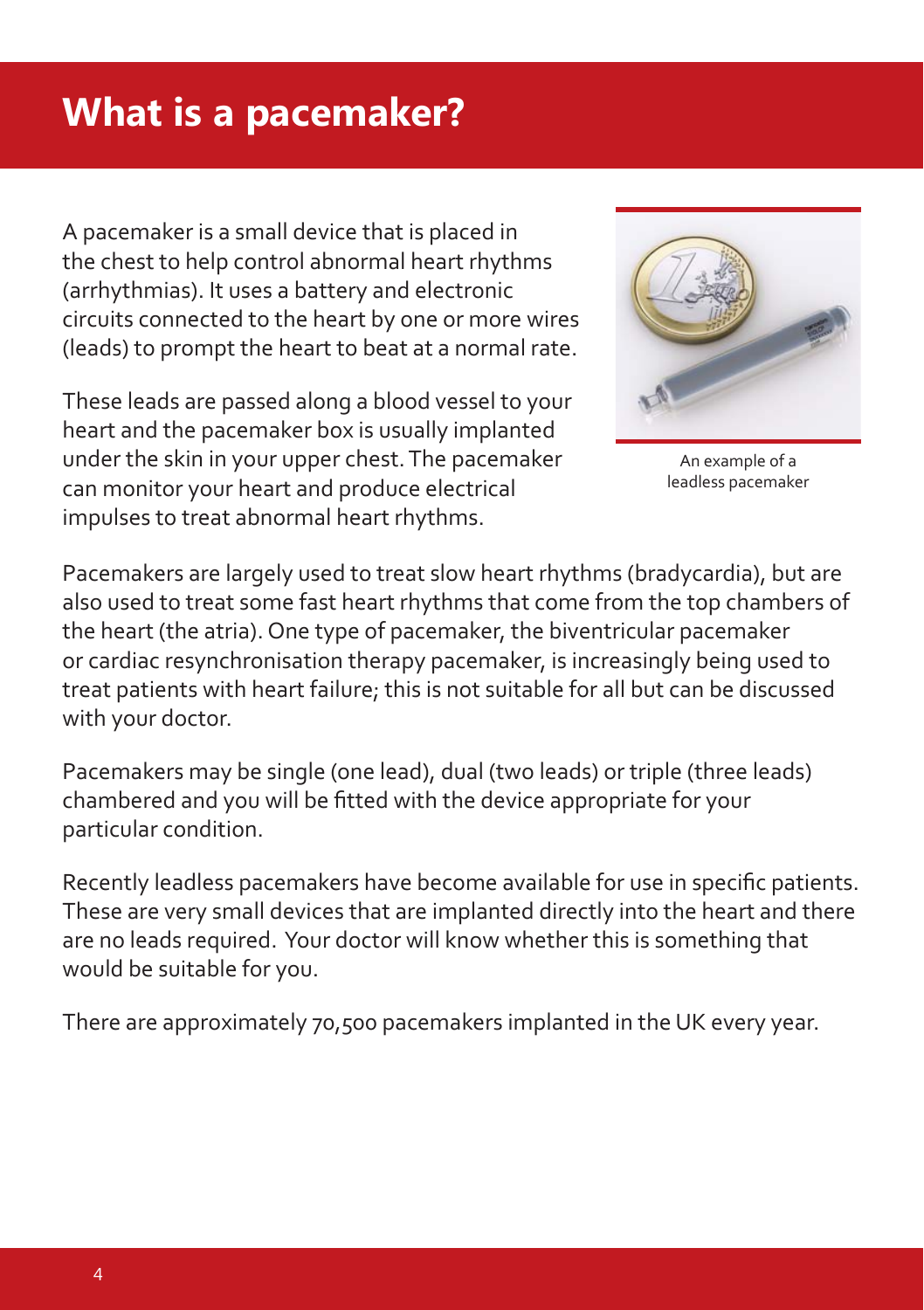# **What is a pacemaker?**

A pacemaker is a small device that is placed in the chest to help control abnormal heart rhythms (arrhythmias). It uses a battery and electronic circuits connected to the heart by one or more wires (leads) to prompt the heart to beat at a normal rate.

These leads are passed along a blood vessel to your heart and the pacemaker box is usually implanted under the skin in your upper chest. The pacemaker can monitor your heart and produce electrical impulses to treat abnormal heart rhythms.



An example of a leadless pacemaker

Pacemakers are largely used to treat slow heart rhythms (bradycardia), but are also used to treat some fast heart rhythms that come from the top chambers of the heart (the atria). One type of pacemaker, the biventricular pacemaker or cardiac resynchronisation therapy pacemaker, is increasingly being used to treat patients with heart failure; this is not suitable for all but can be discussed with your doctor.

Pacemakers may be single (one lead), dual (two leads) or triple (three leads) chambered and you will be fitted with the device appropriate for your particular condition.

Recently leadless pacemakers have become available for use in specific patients. These are very small devices that are implanted directly into the heart and there are no leads required. Your doctor will know whether this is something that would be suitable for you.

There are approximately 70,500 pacemakers implanted in the UK every year.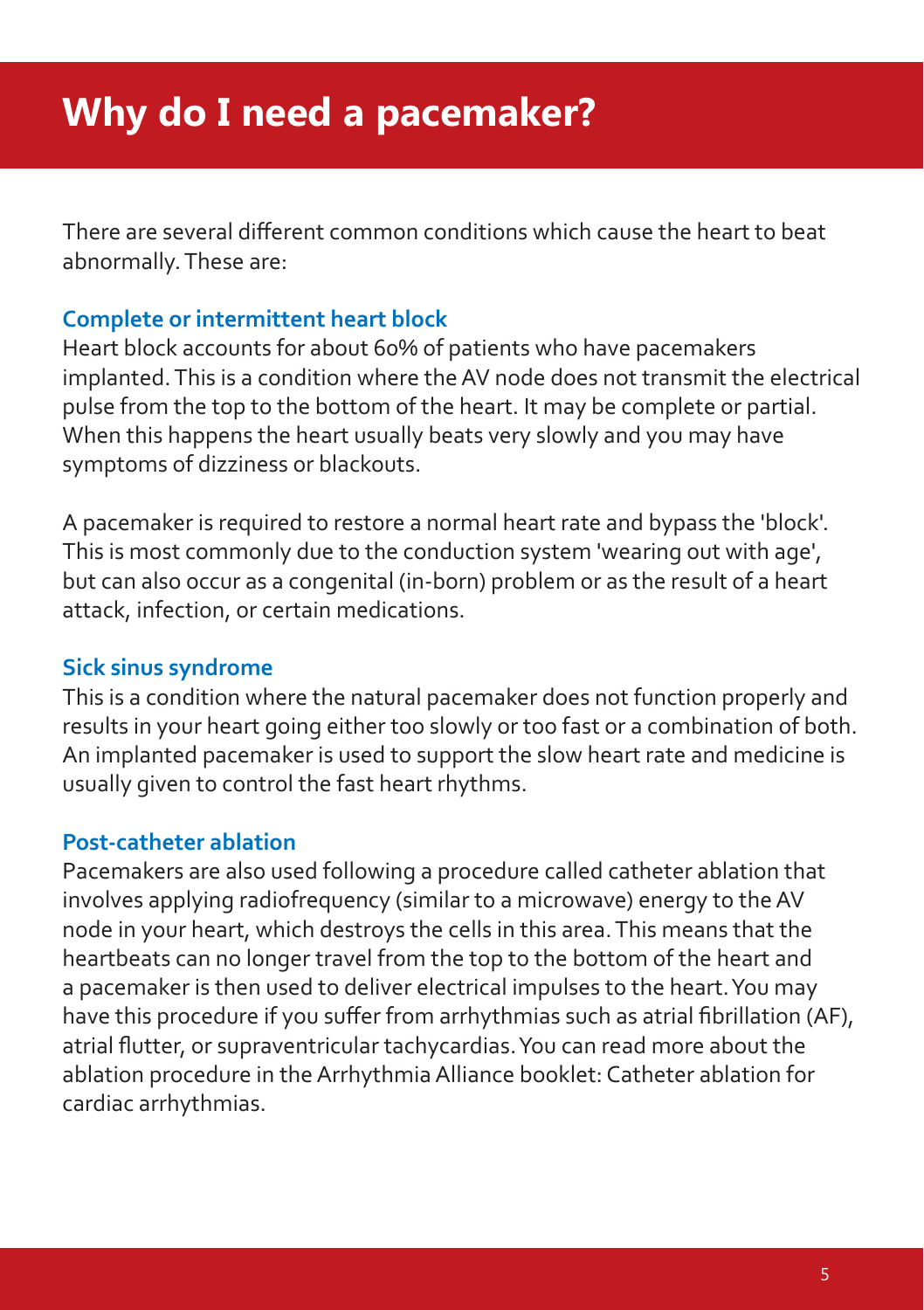There are several different common conditions which cause the heart to beat abnormally. These are:

#### **Complete or intermittent heart block**

Heart block accounts for about 60% of patients who have pacemakers implanted. This is a condition where the AV node does not transmit the electrical pulse from the top to the bottom of the heart. It may be complete or partial. When this happens the heart usually beats very slowly and you may have symptoms of dizziness or blackouts.

A pacemaker is required to restore a normal heart rate and bypass the 'block'. This is most commonly due to the conduction system 'wearing out with age', but can also occur as a congenital (in-born) problem or as the result of a heart attack, infection, or certain medications.

#### **Sick sinus syndrome**

This is a condition where the natural pacemaker does not function properly and results in your heart going either too slowly or too fast or a combination of both. An implanted pacemaker is used to support the slow heart rate and medicine is usually given to control the fast heart rhythms.

#### **Post-catheter ablation**

Pacemakers are also used following a procedure called catheter ablation that involves applying radiofrequency (similar to a microwave) energy to the AV node in your heart, which destroys the cells in this area. This means that the heartbeats can no longer travel from the top to the bottom of the heart and a pacemaker is then used to deliver electrical impulses to the heart. You may have this procedure if you suffer from arrhythmias such as atrial fibrillation (AF), atrial flutter, or supraventricular tachycardias. You can read more about the ablation procedure in the Arrhythmia Alliance booklet: Catheter ablation for cardiac arrhythmias.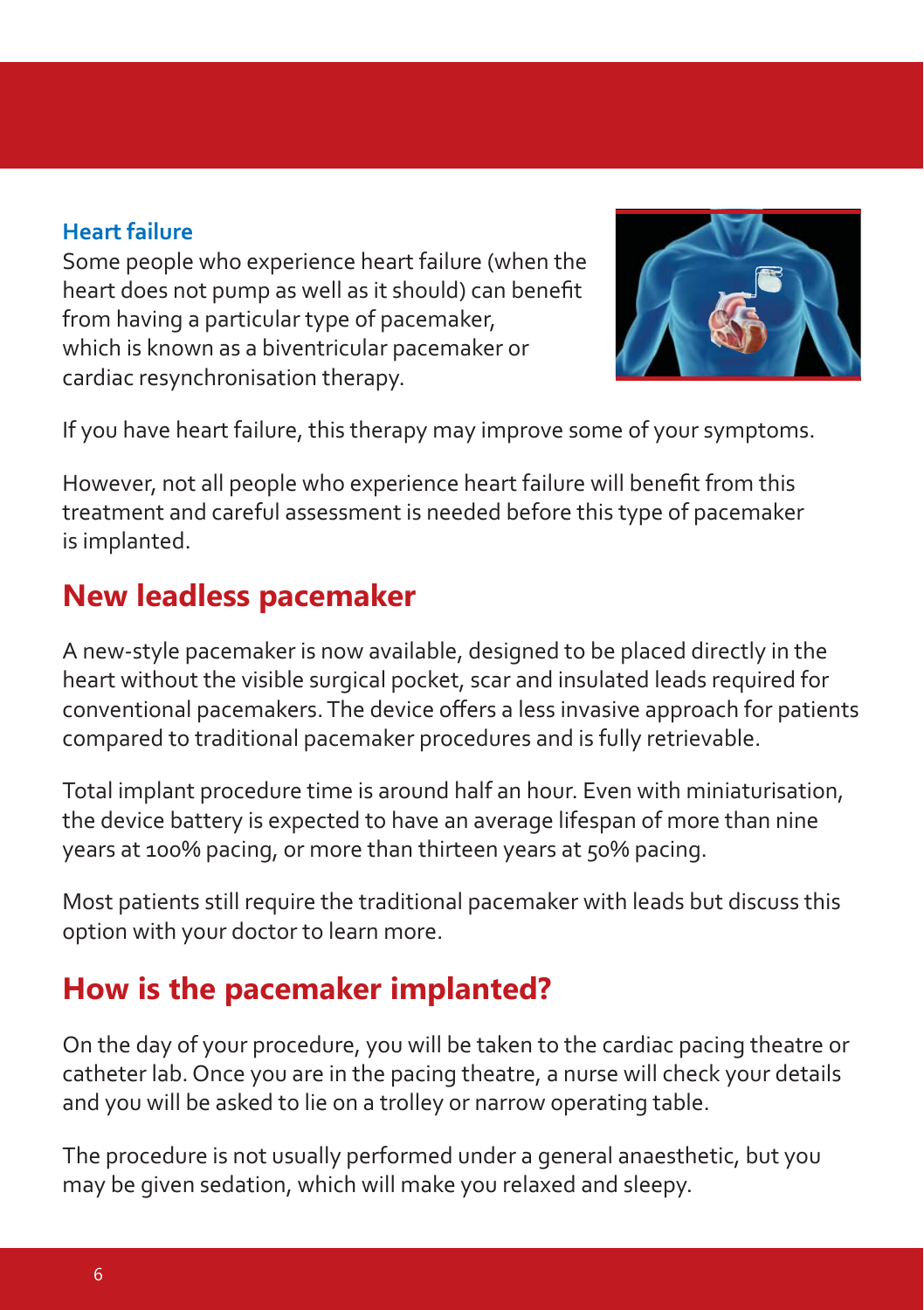#### **Heart failure**

Some people who experience heart failure (when the heart does not pump as well as it should) can benefit from having a particular type of pacemaker, which is known as a biventricular pacemaker or cardiac resynchronisation therapy.



If you have heart failure, this therapy may improve some of your symptoms.

However, not all people who experience heart failure will benefit from this treatment and careful assessment is needed before this type of pacemaker is implanted.

### **New leadless pacemaker**

A new-style pacemaker is now available, designed to be placed directly in the heart without the visible surgical pocket, scar and insulated leads required for conventional pacemakers. The device offers a less invasive approach for patients compared to traditional pacemaker procedures and is fully retrievable.

Total implant procedure time is around half an hour. Even with miniaturisation, the device battery is expected to have an average lifespan of more than nine years at 100% pacing, or more than thirteen years at 50% pacing.

Most patients still require the traditional pacemaker with leads but discuss this option with your doctor to learn more.

### **How is the pacemaker implanted?**

On the day of your procedure, you will be taken to the cardiac pacing theatre or catheter lab. Once you are in the pacing theatre, a nurse will check your details and you will be asked to lie on a trolley or narrow operating table.

The procedure is not usually performed under a general anaesthetic, but you may be given sedation, which will make you relaxed and sleepy.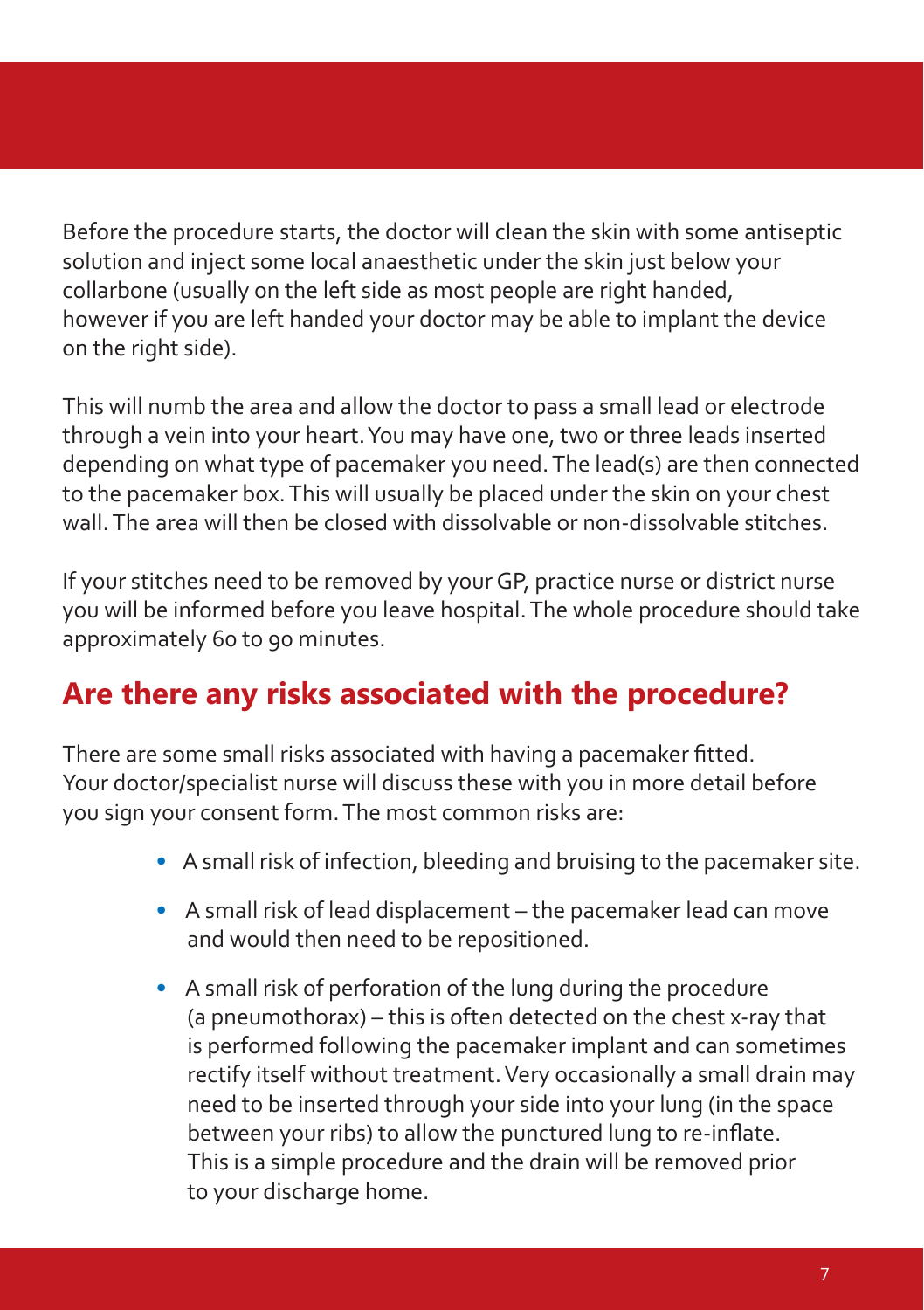Before the procedure starts, the doctor will clean the skin with some antiseptic solution and inject some local anaesthetic under the skin just below your collarbone (usually on the left side as most people are right handed, however if you are left handed your doctor may be able to implant the device on the right side).

This will numb the area and allow the doctor to pass a small lead or electrode through a vein into your heart. You may have one, two or three leads inserted depending on what type of pacemaker you need. The lead(s) are then connected to the pacemaker box. This will usually be placed under the skin on your chest wall. The area will then be closed with dissolvable or non-dissolvable stitches.

If your stitches need to be removed by your GP, practice nurse or district nurse you will be informed before you leave hospital. The whole procedure should take approximately 60 to 90 minutes.

### **Are there any risks associated with the procedure?**

There are some small risks associated with having a pacemaker fitted. Your doctor/specialist nurse will discuss these with you in more detail before you sign your consent form. The most common risks are:

- **•** A small risk of infection, bleeding and bruising to the pacemaker site.
- **•** A small risk of lead displacement the pacemaker lead can move and would then need to be repositioned.
- **•** A small risk of perforation of the lung during the procedure (a pneumothorax) – this is often detected on the chest x-ray that is performed following the pacemaker implant and can sometimes rectify itself without treatment. Very occasionally a small drain may need to be inserted through your side into your lung (in the space between your ribs) to allow the punctured lung to re-inflate. This is a simple procedure and the drain will be removed prior to your discharge home.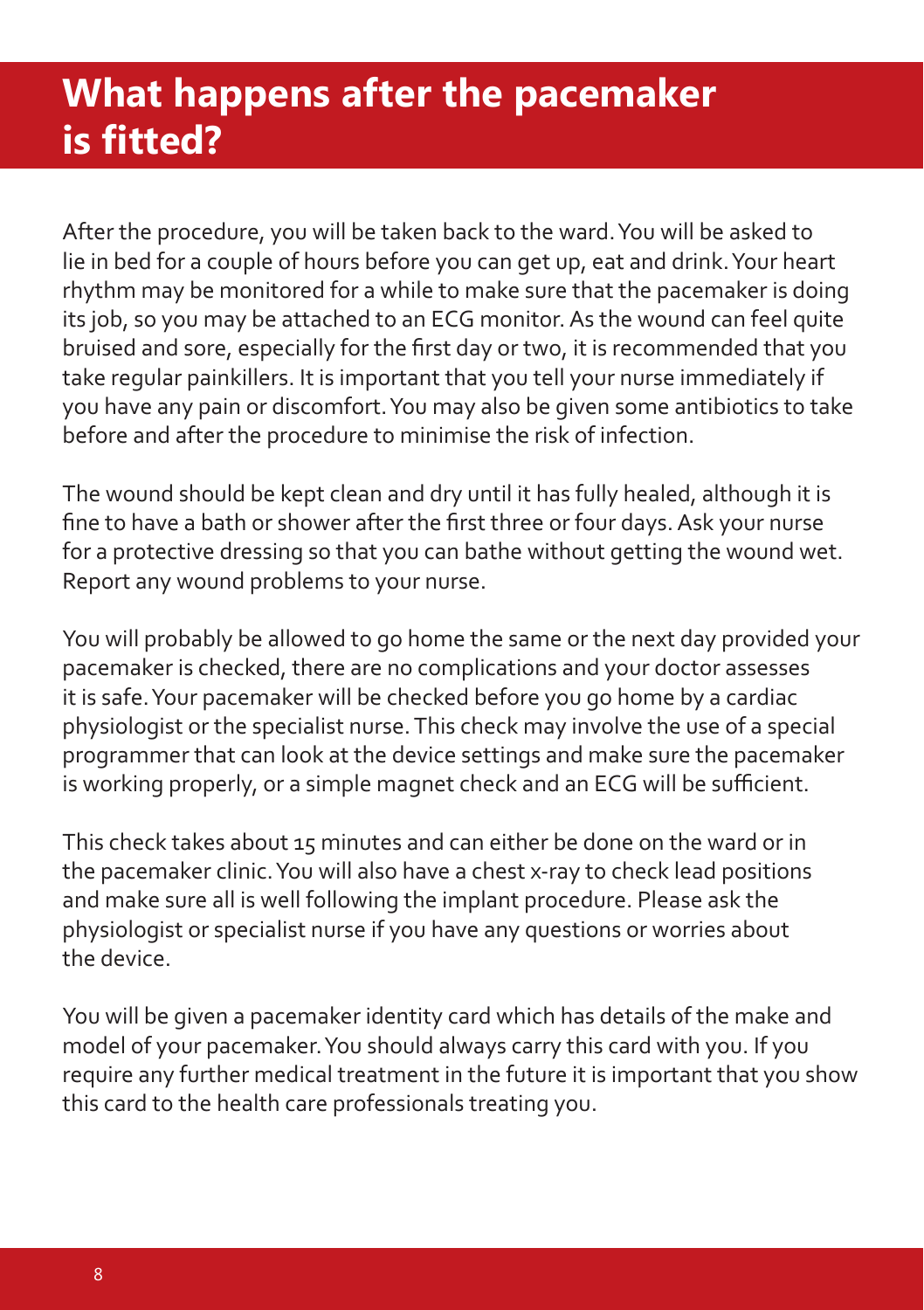# **What happens after the pacemaker is fi tted?**

After the procedure, you will be taken back to the ward. You will be asked to lie in bed for a couple of hours before you can get up, eat and drink. Your heart rhythm may be monitored for a while to make sure that the pacemaker is doing its job, so you may be attached to an ECG monitor. As the wound can feel quite bruised and sore, especially for the first day or two, it is recommended that you take regular painkillers. It is important that you tell your nurse immediately if you have any pain or discomfort. You may also be given some antibiotics to take before and after the procedure to minimise the risk of infection.

The wound should be kept clean and dry until it has fully healed, although it is fine to have a bath or shower after the first three or four days. Ask your nurse for a protective dressing so that you can bathe without getting the wound wet. Report any wound problems to your nurse.

You will probably be allowed to go home the same or the next day provided your pacemaker is checked, there are no complications and your doctor assesses it is safe. Your pacemaker will be checked before you go home by a cardiac physiologist or the specialist nurse. This check may involve the use of a special programmer that can look at the device settings and make sure the pacemaker is working properly, or a simple magnet check and an ECG will be sufficient.

This check takes about 15 minutes and can either be done on the ward or in the pacemaker clinic. You will also have a chest x-ray to check lead positions and make sure all is well following the implant procedure. Please ask the physiologist or specialist nurse if you have any questions or worries about the device.

You will be given a pacemaker identity card which has details of the make and model of your pacemaker. You should always carry this card with you. If you require any further medical treatment in the future it is important that you show this card to the health care professionals treating you.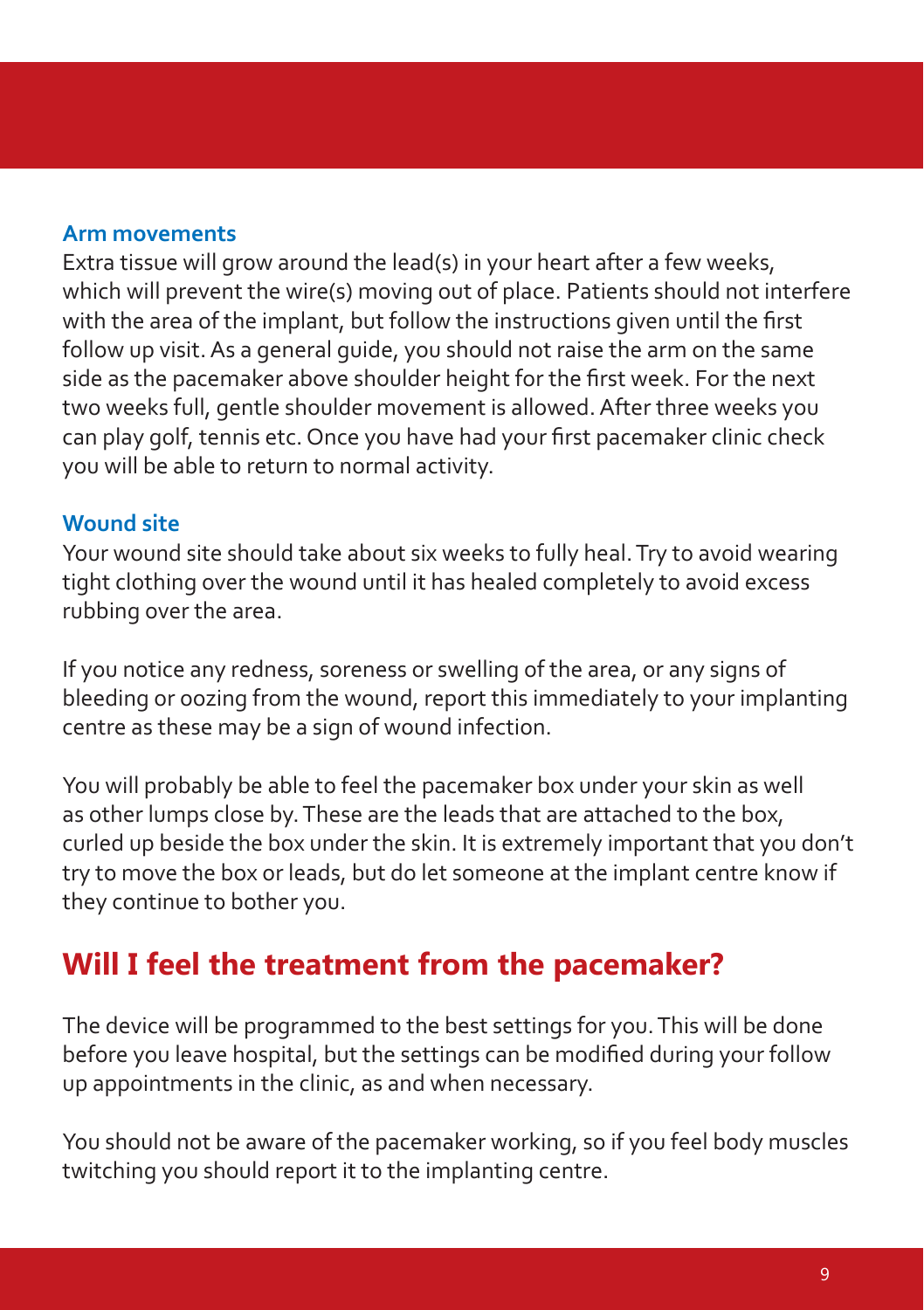#### **Arm movements**

Extra tissue will grow around the lead(s) in your heart after a few weeks, which will prevent the wire(s) moving out of place. Patients should not interfere with the area of the implant, but follow the instructions given until the first follow up visit. As a general guide, you should not raise the arm on the same side as the pacemaker above shoulder height for the first week. For the next two weeks full, gentle shoulder movement is allowed. After three weeks you can play golf, tennis etc. Once you have had your first pacemaker clinic check you will be able to return to normal activity.

#### **Wound site**

Your wound site should take about six weeks to fully heal. Try to avoid wearing tight clothing over the wound until it has healed completely to avoid excess rubbing over the area.

If you notice any redness, soreness or swelling of the area, or any signs of bleeding or oozing from the wound, report this immediately to your implanting centre as these may be a sign of wound infection.

You will probably be able to feel the pacemaker box under your skin as well as other lumps close by. These are the leads that are attached to the box, curled up beside the box under the skin. It is extremely important that you don't try to move the box or leads, but do let someone at the implant centre know if they continue to bother you.

### **Will I feel the treatment from the pacemaker?**

The device will be programmed to the best settings for you. This will be done before you leave hospital, but the settings can be modified during your follow up appointments in the clinic, as and when necessary.

You should not be aware of the pacemaker working, so if you feel body muscles twitching you should report it to the implanting centre.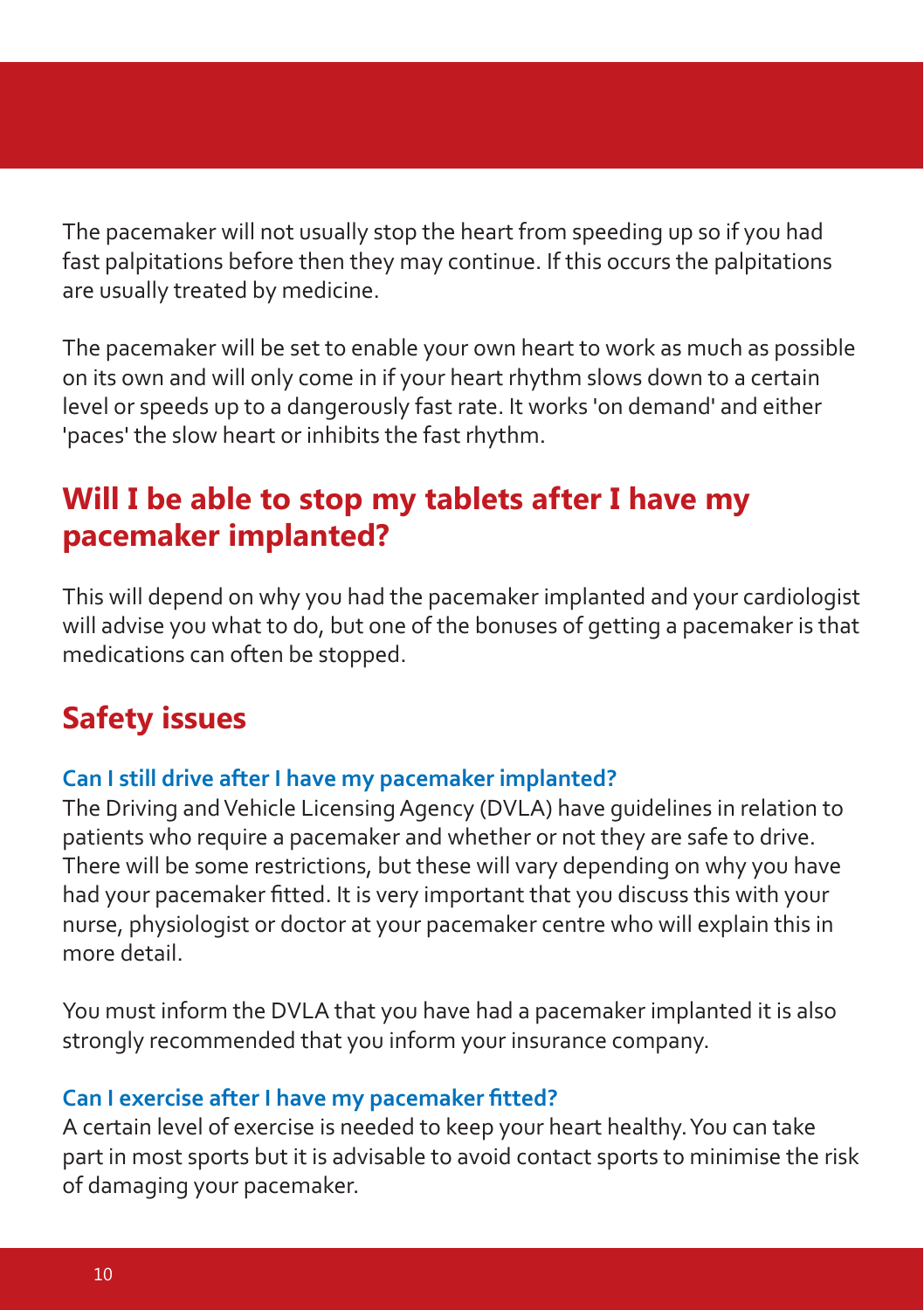The pacemaker will not usually stop the heart from speeding up so if you had fast palpitations before then they may continue. If this occurs the palpitations are usually treated by medicine.

The pacemaker will be set to enable your own heart to work as much as possible on its own and will only come in if your heart rhythm slows down to a certain level or speeds up to a dangerously fast rate. It works 'on demand' and either 'paces' the slow heart or inhibits the fast rhythm.

### **Will I be able to stop my tablets after I have my pacemaker implanted?**

This will depend on why you had the pacemaker implanted and your cardiologist will advise you what to do, but one of the bonuses of getting a pacemaker is that medications can often be stopped.

### **Safety issues**

#### **Can I still drive after I have my pacemaker implanted?**

The Driving and Vehicle Licensing Agency (DVLA) have guidelines in relation to patients who require a pacemaker and whether or not they are safe to drive. There will be some restrictions, but these will vary depending on why you have had your pacemaker fitted. It is very important that you discuss this with your nurse, physiologist or doctor at your pacemaker centre who will explain this in more detail.

You must inform the DVLA that you have had a pacemaker implanted it is also strongly recommended that you inform your insurance company.

#### **Can I exercise after I have my pacemaker fitted?**

A certain level of exercise is needed to keep your heart healthy. You can take part in most sports but it is advisable to avoid contact sports to minimise the risk of damaging your pacemaker.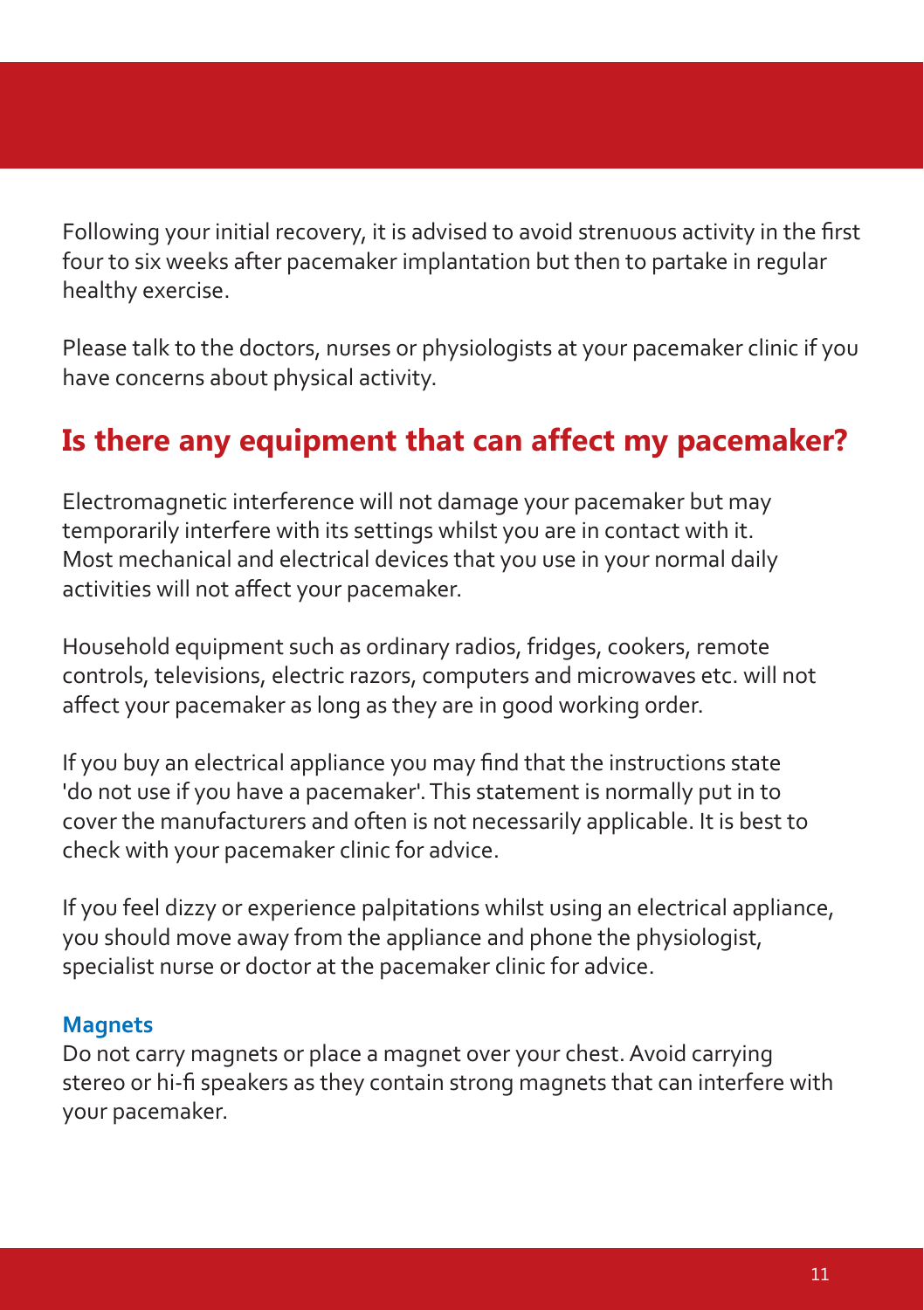Following your initial recovery, it is advised to avoid strenuous activity in the first four to six weeks after pacemaker implantation but then to partake in regular healthy exercise.

Please talk to the doctors, nurses or physiologists at your pacemaker clinic if you have concerns about physical activity.

### **Is there any equipment that can affect my pacemaker?**

Electromagnetic interference will not damage your pacemaker but may temporarily interfere with its settings whilst you are in contact with it. Most mechanical and electrical devices that you use in your normal daily activities will not affect your pacemaker.

Household equipment such as ordinary radios, fridges, cookers, remote controls, televisions, electric razors, computers and microwaves etc. will not affect your pacemaker as long as they are in good working order.

If you buy an electrical appliance you may find that the instructions state 'do not use if you have a pacemaker'. This statement is normally put in to cover the manufacturers and often is not necessarily applicable. It is best to check with your pacemaker clinic for advice.

If you feel dizzy or experience palpitations whilst using an electrical appliance, you should move away from the appliance and phone the physiologist, specialist nurse or doctor at the pacemaker clinic for advice.

#### **Magnets**

Do not carry magnets or place a magnet over your chest. Avoid carrying stereo or hi-fi speakers as they contain strong magnets that can interfere with your pacemaker.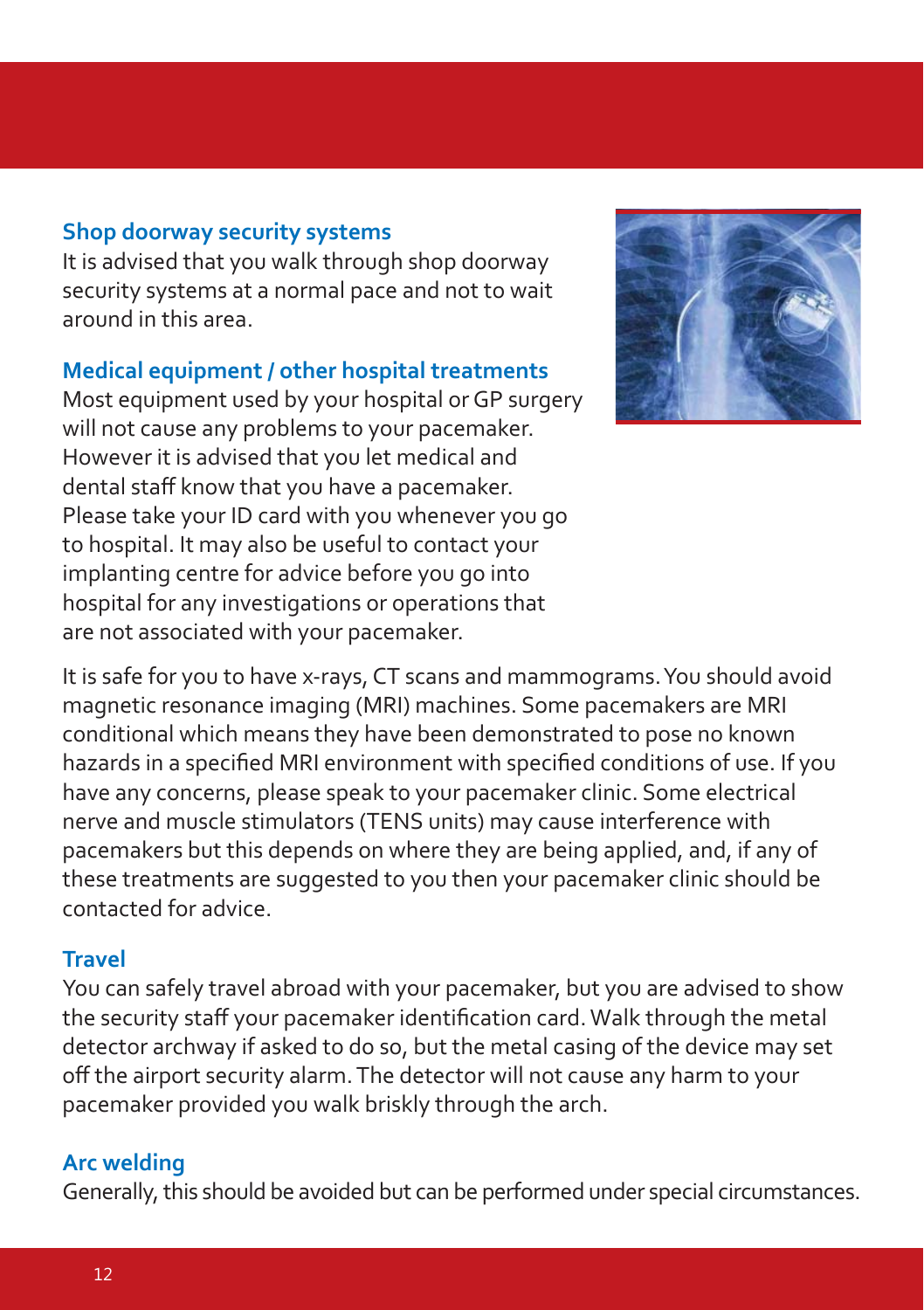#### **Shop doorway security systems**

It is advised that you walk through shop doorway security systems at a normal pace and not to wait around in this area.

#### **Medical equipment / other hospital treatments**

Most equipment used by your hospital or GP surgery will not cause any problems to your pacemaker. However it is advised that you let medical and dental staff know that you have a pacemaker. Please take your ID card with you whenever you go to hospital. It may also be useful to contact your implanting centre for advice before you go into hospital for any investigations or operations that are not associated with your pacemaker.



It is safe for you to have x-rays, CT scans and mammograms. You should avoid magnetic resonance imaging (MRI) machines. Some pacemakers are MRI conditional which means they have been demonstrated to pose no known hazards in a specified MRI environment with specified conditions of use. If you have any concerns, please speak to your pacemaker clinic. Some electrical nerve and muscle stimulators (TENS units) may cause interference with pacemakers but this depends on where they are being applied, and, if any of these treatments are suggested to you then your pacemaker clinic should be contacted for advice.

#### **Travel**

You can safely travel abroad with your pacemaker, but you are advised to show the security staff your pacemaker identification card. Walk through the metal detector archway if asked to do so, but the metal casing of the device may set off the airport security alarm. The detector will not cause any harm to your pacemaker provided you walk briskly through the arch.

#### **Arc welding**

Generally, this should be avoided but can be performed under special circumstances.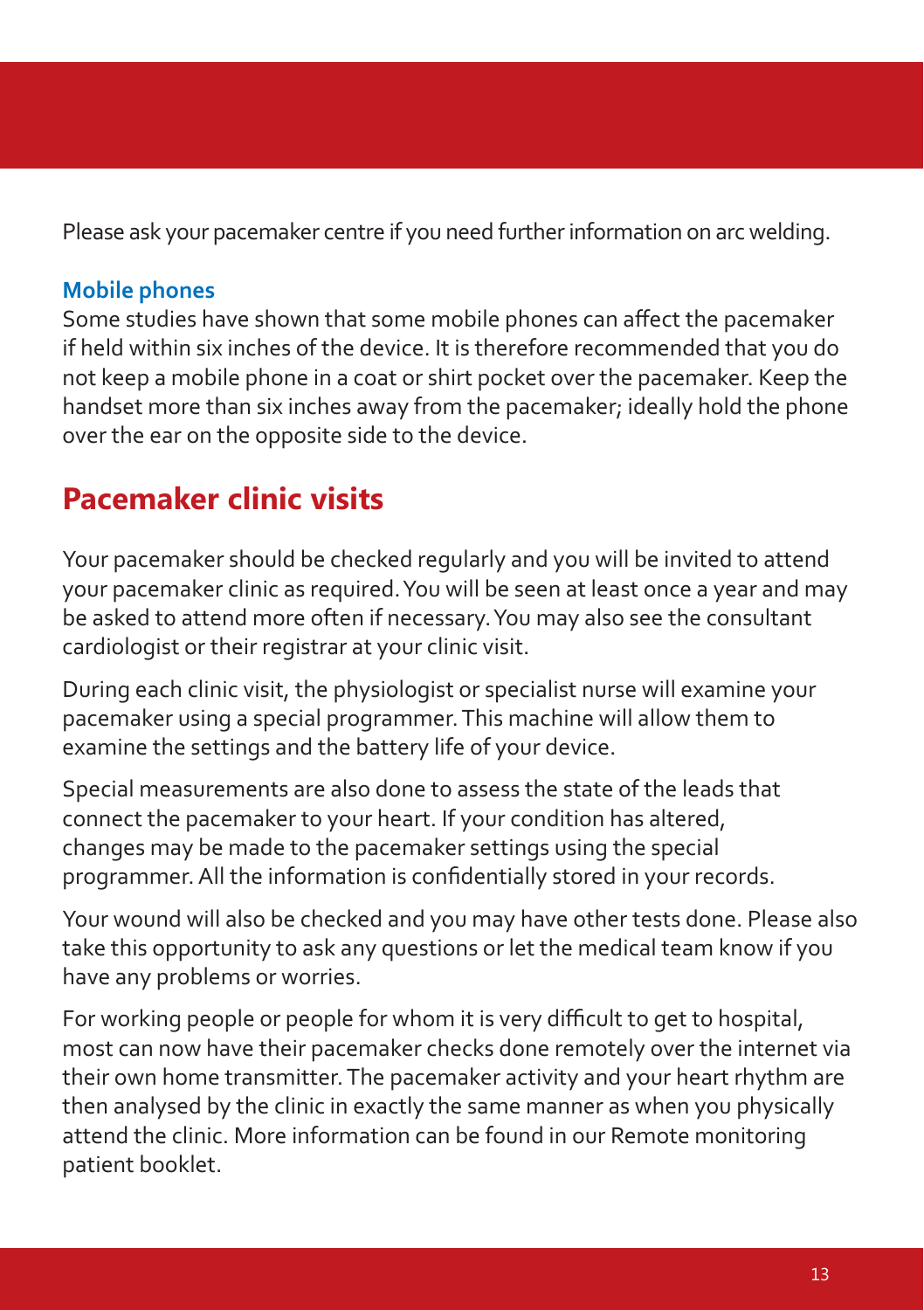Please ask your pacemaker centre if you need further information on arc welding.

#### **Mobile phones**

Some studies have shown that some mobile phones can affect the pacemaker if held within six inches of the device. It is therefore recommended that you do not keep a mobile phone in a coat or shirt pocket over the pacemaker. Keep the handset more than six inches away from the pacemaker; ideally hold the phone over the ear on the opposite side to the device.

### **Pacemaker clinic visits**

Your pacemaker should be checked regularly and you will be invited to attend your pacemaker clinic as required. You will be seen at least once a year and may be asked to attend more often if necessary. You may also see the consultant cardiologist or their registrar at your clinic visit.

During each clinic visit, the physiologist or specialist nurse will examine your pacemaker using a special programmer. This machine will allow them to examine the settings and the battery life of your device.

Special measurements are also done to assess the state of the leads that connect the pacemaker to your heart. If your condition has altered, changes may be made to the pacemaker settings using the special programmer. All the information is confidentially stored in your records.

Your wound will also be checked and you may have other tests done. Please also take this opportunity to ask any questions or let the medical team know if you have any problems or worries.

For working people or people for whom it is very difficult to get to hospital, most can now have their pacemaker checks done remotely over the internet via their own home transmitter. The pacemaker activity and your heart rhythm are then analysed by the clinic in exactly the same manner as when you physically attend the clinic. More information can be found in our Remote monitoring patient booklet.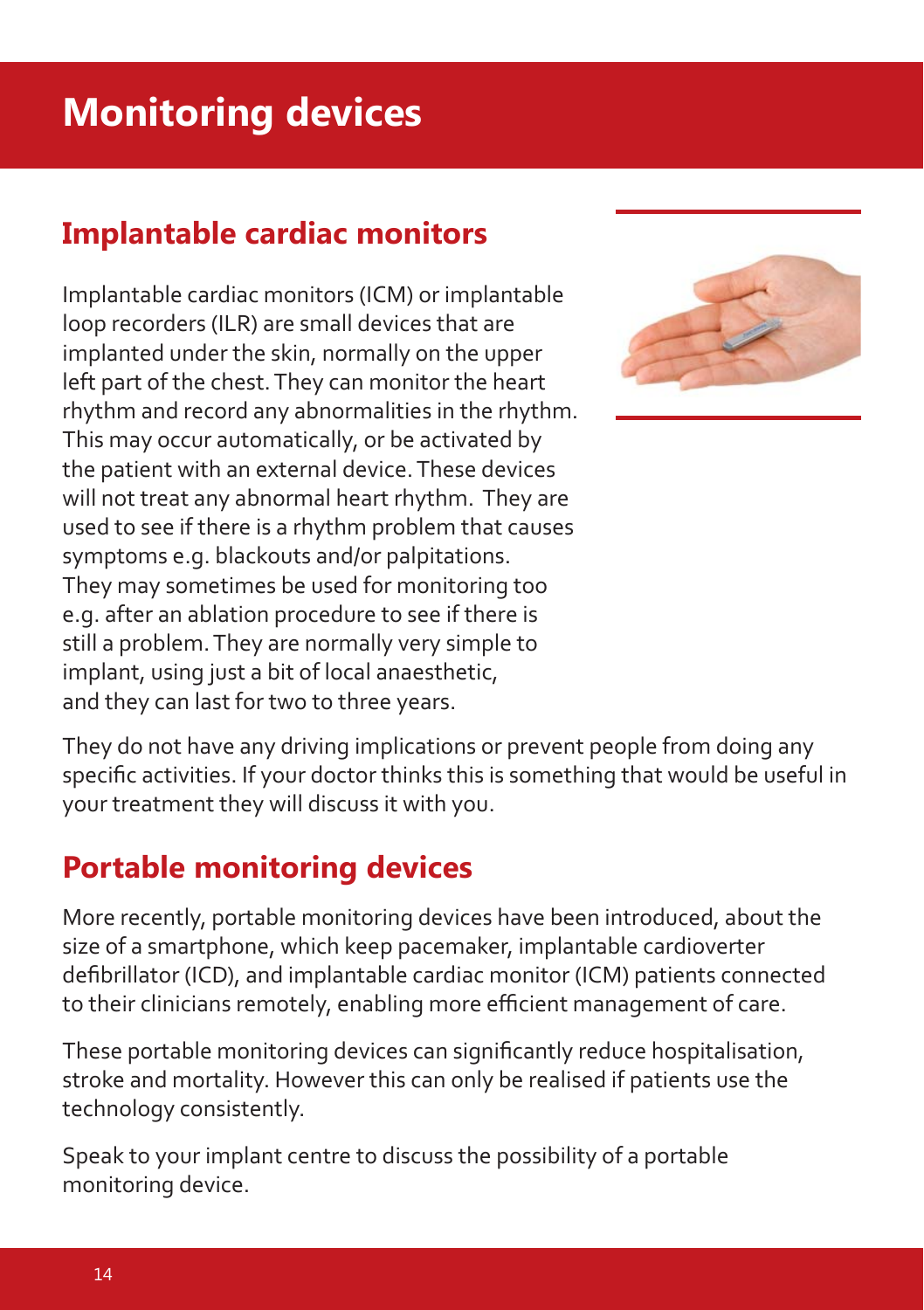# **Monitoring devices**

### **Implantable cardiac monitors**

Implantable cardiac monitors (ICM) or implantable loop recorders (ILR) are small devices that are implanted under the skin, normally on the upper left part of the chest. They can monitor the heart rhythm and record any abnormalities in the rhythm. This may occur automatically, or be activated by the patient with an external device. These devices will not treat any abnormal heart rhythm. They are used to see if there is a rhythm problem that causes symptoms e.g. blackouts and/or palpitations. They may sometimes be used for monitoring too e.g. after an ablation procedure to see if there is still a problem. They are normally very simple to implant, using just a bit of local anaesthetic, and they can last for two to three years.



They do not have any driving implications or prevent people from doing any specific activities. If your doctor thinks this is something that would be useful in your treatment they will discuss it with you.

### **Portable monitoring devices**

More recently, portable monitoring devices have been introduced, about the size of a smartphone, which keep pacemaker, implantable cardioverter defibrillator (ICD), and implantable cardiac monitor (ICM) patients connected to their clinicians remotely, enabling more efficient management of care.

These portable monitoring devices can significantly reduce hospitalisation, stroke and mortality. However this can only be realised if patients use the technology consistently.

Speak to your implant centre to discuss the possibility of a portable monitoring device.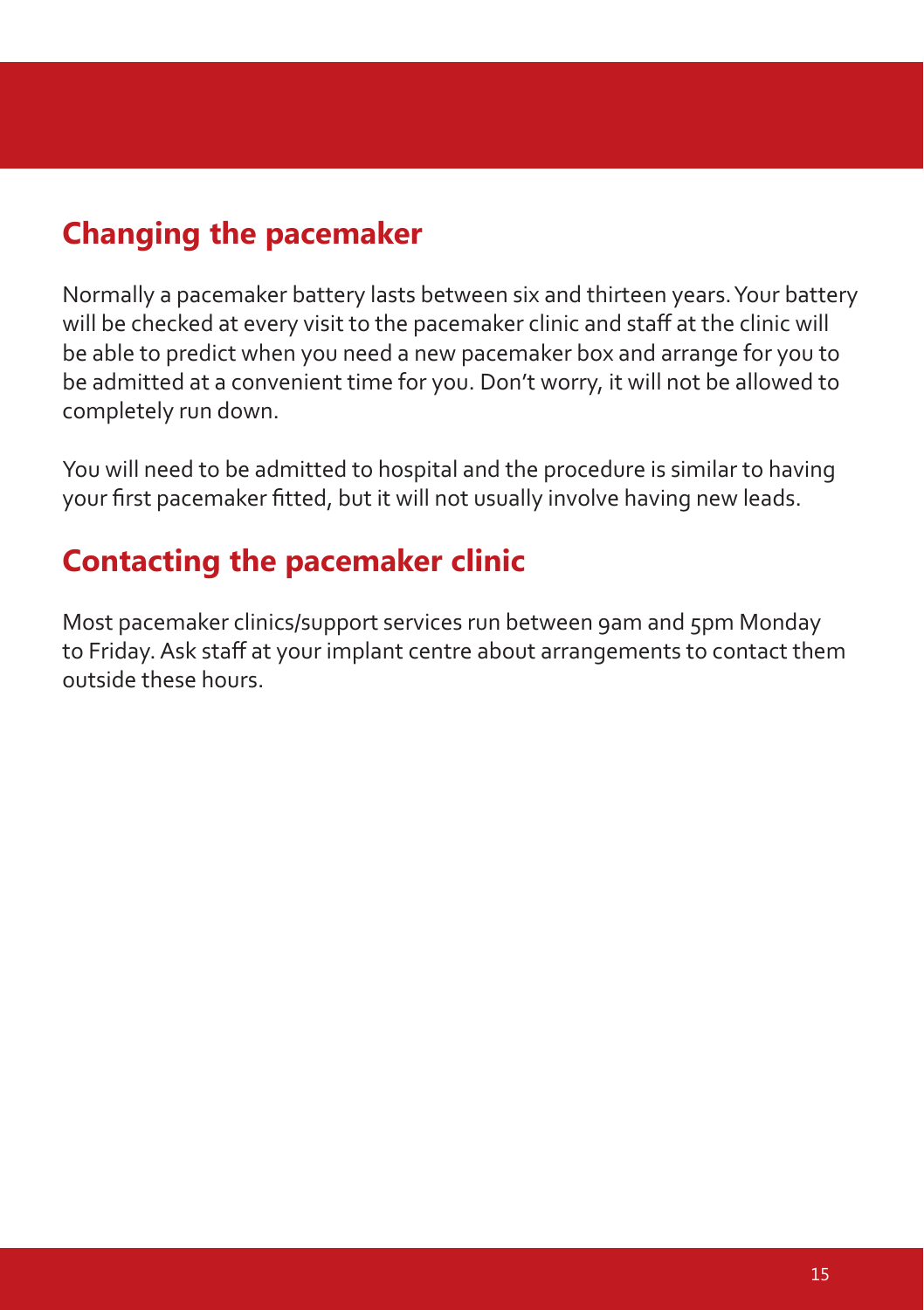### **Changing the pacemaker**

Normally a pacemaker battery lasts between six and thirteen years. Your battery will be checked at every visit to the pacemaker clinic and staff at the clinic will be able to predict when you need a new pacemaker box and arrange for you to be admitted at a convenient time for you. Don't worry, it will not be allowed to completely run down.

You will need to be admitted to hospital and the procedure is similar to having your first pacemaker fitted, but it will not usually involve having new leads.

### **Contacting the pacemaker clinic**

Most pacemaker clinics/support services run between 9am and 5pm Monday to Friday. Ask staff at your implant centre about arrangements to contact them outside these hours.